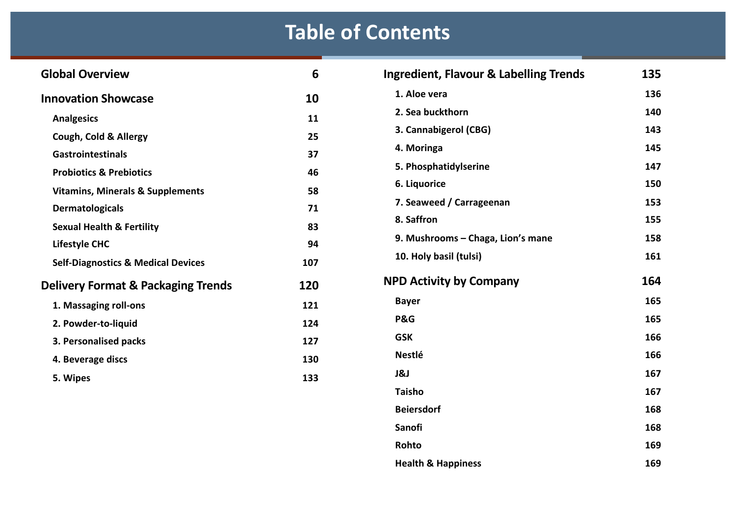## **Table of Contents**

| <b>Global Overview</b>                                                | 6   | <b>Ingredient, Flavour &amp; Labelling Trends</b> | 135 |
|-----------------------------------------------------------------------|-----|---------------------------------------------------|-----|
| <b>Innovation Showcase</b>                                            | 10  | 1. Aloe vera                                      | 136 |
| <b>Analgesics</b>                                                     | 11  | 2. Sea buckthorn                                  | 140 |
| Cough, Cold & Allergy                                                 | 25  | 3. Cannabigerol (CBG)                             | 143 |
| <b>Gastrointestinals</b>                                              | 37  | 4. Moringa                                        | 145 |
| <b>Probiotics &amp; Prebiotics</b>                                    | 46  | 5. Phosphatidylserine                             | 147 |
| <b>Vitamins, Minerals &amp; Supplements</b>                           | 58  | 6. Liquorice                                      | 150 |
| <b>Dermatologicals</b>                                                | 71  | 7. Seaweed / Carrageenan                          | 153 |
|                                                                       | 83  | 8. Saffron                                        | 155 |
| <b>Sexual Health &amp; Fertility</b>                                  | 94  | 9. Mushrooms - Chaga, Lion's mane                 | 158 |
| <b>Lifestyle CHC</b><br><b>Self-Diagnostics &amp; Medical Devices</b> | 107 | 10. Holy basil (tulsi)                            | 161 |
| <b>Delivery Format &amp; Packaging Trends</b>                         | 120 | <b>NPD Activity by Company</b>                    | 164 |
| 1. Massaging roll-ons                                                 | 121 | <b>Bayer</b>                                      | 165 |
| 2. Powder-to-liquid                                                   | 124 | P&G                                               | 165 |
| 3. Personalised packs                                                 | 127 | <b>GSK</b>                                        | 166 |
| 4. Beverage discs                                                     | 130 | <b>Nestlé</b>                                     | 166 |
|                                                                       |     | J&J                                               | 167 |
| 5. Wipes                                                              | 133 |                                                   |     |

| J&J                           | 167 |
|-------------------------------|-----|
| <b>Taisho</b>                 | 167 |
| <b>Beiersdorf</b>             | 168 |
| Sanofi                        | 168 |
| Rohto                         | 169 |
| <b>Health &amp; Happiness</b> | 169 |
|                               |     |